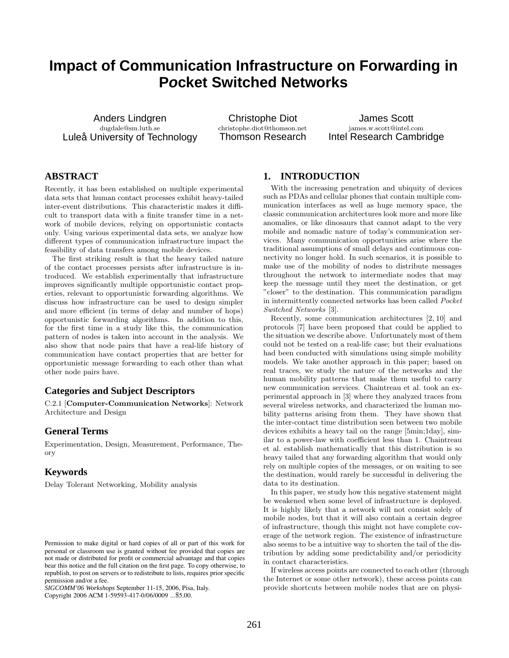# **Impact of Communication Infrastructure on Forwarding in P***o***cket Switched Networks**

Anders Lindgren dugdale@sm.luth.se Luleå University of Technology

Christophe Diot christophe.diot@thomson.net Thomson Research

James Scott james.w.scott@intel.com Intel Research Cambridge

# **ABSTRACT**

Recently, it has been established on multiple experimental data sets that human contact processes exhibit heavy-tailed inter-event distributions. This characteristic makes it difficult to transport data with a finite transfer time in a network of mobile devices, relying on opportunistic contacts only. Using various experimental data sets, we analyze how different types of communication infrastructure impact the feasibility of data transfers among mobile devices.

The first striking result is that the heavy tailed nature of the contact processes persists after infrastructure is introduced. We establish experimentally that infrastructure improves significantly multiple opportunistic contact properties, relevant to opportunistic forwarding algorithms. We discuss how infrastructure can be used to design simpler and more efficient (in terms of delay and number of hops) opportunistic forwarding algorithms. In addition to this, for the first time in a study like this, the communication pattern of nodes is taken into account in the analysis. We also show that node pairs that have a real-life history of communication have contact properties that are better for opportunistic message forwarding to each other than what other node pairs have.

#### **Categories and Subject Descriptors**

C.2.1 [**Computer-Communication Networks**]: Network Architecture and Design

#### **General Terms**

Experimentation, Design, Measurement, Performance, Theory

#### **Keywords**

Delay Tolerant Networking, Mobility analysis

Copyright 2006 ACM 1-59593-417-0/06/0009 ...\$5.00.

# **1. INTRODUCTION**

With the increasing penetration and ubiquity of devices such as PDAs and cellular phones that contain multiple communication interfaces as well as huge memory space, the classic communication architectures look more and more like anomalies, or like dinosaurs that cannot adapt to the very mobile and nomadic nature of today's communication services. Many communication opportunities arise where the traditional assumptions of small delays and continuous connectivity no longer hold. In such scenarios, it is possible to make use of the mobility of nodes to distribute messages throughout the network to intermediate nodes that may keep the message until they meet the destination, or get "closer" to the destination. This communication paradigm in intermittently connected networks has been called Pocket Switched Networks [3].

Recently, some communication architectures [2, 10] and protocols [7] have been proposed that could be applied to the situation we describe above. Unfortunately most of them could not be tested on a real-life case; but their evaluations had been conducted with simulations using simple mobility models. We take another approach in this paper; based on real traces, we study the nature of the networks and the human mobility patterns that make them useful to carry new communication services. Chaintreau et al. took an experimental approach in [3] where they analyzed traces from several wireless networks, and characterized the human mobility patterns arising from them. They have shown that the inter-contact time distribution seen between two mobile devices exhibits a heavy tail on the range [5min;1day], similar to a power-law with coefficient less than 1. Chaintreau et al. establish mathematically that this distribution is so heavy tailed that any forwarding algorithm that would only rely on multiple copies of the messages, or on waiting to see the destination, would rarely be successful in delivering the data to its destination.

In this paper, we study how this negative statement might be weakened when some level of infrastructure is deployed. It is highly likely that a network will not consist solely of mobile nodes, but that it will also contain a certain degree of infrastructure, though this might not have complete coverage of the network region. The existence of infrastructure also seems to be a intuitive way to shorten the tail of the distribution by adding some predictability and/or periodicity in contact characteristics.

If wireless access points are connected to each other (through the Internet or some other network), these access points can provide shortcuts between mobile nodes that are on physi-

Permission to make digital or hard copies of all or part of this work for personal or classroom use is granted without fee provided that copies are not made or distributed for profit or commercial advantage and that copies bear this notice and the full citation on the first page. To copy otherwise, to republish, to post on servers or to redistribute to lists, requires prior specific permission and/or a fee.

*SIGCOMM'06 Workshops* September 11-15, 2006, Pisa, Italy.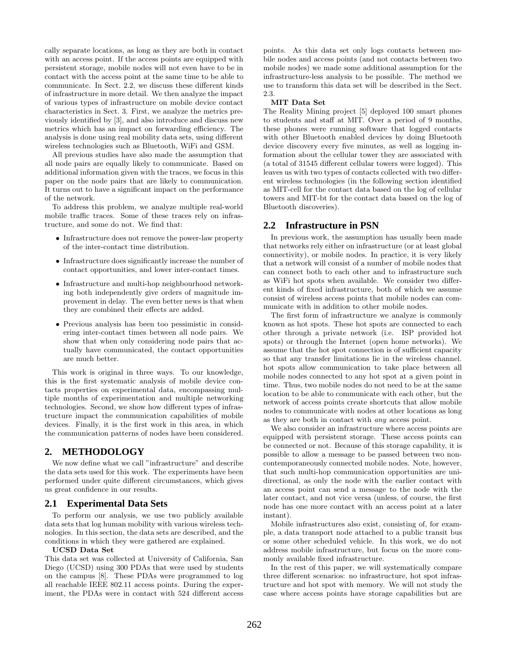cally separate locations, as long as they are both in contact with an access point. If the access points are equipped with persistent storage, mobile nodes will not even have to be in contact with the access point at the same time to be able to communicate. In Sect. 2.2, we discuss these different kinds of infrastructure in more detail. We then analyze the impact of various types of infrastructure on mobile device contact characteristics in Sect. 3. First, we analyze the metrics previously identified by [3], and also introduce and discuss new metrics which has an impact on forwarding efficiency. The analysis is done using real mobility data sets, using different wireless technologies such as Bluetooth, WiFi and GSM.

All previous studies have also made the assumption that all node pairs are equally likely to communicate. Based on additional information given with the traces, we focus in this paper on the node pairs that are likely to communication. It turns out to have a significant impact on the performance of the network.

To address this problem, we analyze multiple real-world mobile traffic traces. Some of these traces rely on infrastructure, and some do not. We find that:

- Infrastructure does not remove the power-law property of the inter-contact time distribution.
- Infrastructure does significantly increase the number of contact opportunities, and lower inter-contact times.
- Infrastructure and multi-hop neighbourhood networking both independently give orders of magnitude improvement in delay. The even better news is that when they are combined their effects are added.
- Previous analysis has been too pessimistic in considering inter-contact times between all node pairs. We show that when only considering node pairs that actually have communicated, the contact opportunities are much better.

This work is original in three ways. To our knowledge, this is the first systematic analysis of mobile device contacts properties on experimental data, encompassing multiple months of experimentation and multiple networking technologies. Second, we show how different types of infrastructure impact the communication capabilities of mobile devices. Finally, it is the first work in this area, in which the communication patterns of nodes have been considered.

## **2. METHODOLOGY**

We now define what we call "infrastructure" and describe the data sets used for this work. The experiments have been performed under quite different circumstances, which gives us great confidence in our results.

#### **2.1 Experimental Data Sets**

To perform our analysis, we use two publicly available data sets that log human mobility with various wireless technologies. In this section, the data sets are described, and the conditions in which they were gathered are explained.

#### **UCSD Data Set**

This data set was collected at University of California, San Diego (UCSD) using 300 PDAs that were used by students on the campus [8]. These PDAs were programmed to log all reachable IEEE 802.11 access points. During the experiment, the PDAs were in contact with 524 different access

points. As this data set only logs contacts between mobile nodes and access points (and not contacts between two mobile nodes) we made some additional assumption for the infrastructure-less analysis to be possible. The method we use to transform this data set will be described in the Sect. 2.3.

#### **MIT Data Set**

The Reality Mining project [5] deployed 100 smart phones to students and staff at MIT. Over a period of 9 months, these phones were running software that logged contacts with other Bluetooth enabled devices by doing Bluetooth device discovery every five minutes, as well as logging information about the cellular tower they are associated with (a total of 31545 different cellular towers were logged). This leaves us with two types of contacts collected with two different wireless technologies (in the following section identified as MIT-cell for the contact data based on the log of cellular towers and MIT-bt for the contact data based on the log of Bluetooth discoveries).

#### **2.2 Infrastructure in PSN**

In previous work, the assumption has usually been made that networks rely either on infrastructure (or at least global connectivity), or mobile nodes. In practice, it is very likely that a network will consist of a number of mobile nodes that can connect both to each other and to infrastructure such as WiFi hot spots when available. We consider two different kinds of fixed infrastructure, both of which we assume consist of wireless access points that mobile nodes can communicate with in addition to other mobile nodes.

The first form of infrastructure we analyze is commonly known as hot spots. These hot spots are connected to each other through a private network (i.e. ISP provided hot spots) or through the Internet (open home networks). We assume that the hot spot connection is of sufficient capacity so that any transfer limitations lie in the wireless channel. hot spots allow communication to take place between all mobile nodes connected to any hot spot at a given point in time. Thus, two mobile nodes do not need to be at the same location to be able to communicate with each other, but the network of access points create shortcuts that allow mobile nodes to communicate with nodes at other locations as long as they are both in contact with any access point.

We also consider an infrastructure where access points are equipped with persistent storage. These access points can be connected or not. Because of this storage capability, it is possible to allow a message to be passed between two noncontemporaneously connected mobile nodes. Note, however, that such multi-hop communication opportunities are unidirectional, as only the node with the earlier contact with an access point can send a message to the node with the later contact, and not vice versa (unless, of course, the first node has one more contact with an access point at a later instant).

Mobile infrastructures also exist, consisting of, for example, a data transport node attached to a public transit bus or some other scheduled vehicle. In this work, we do not address mobile infrastructure, but focus on the more commonly available fixed infrastructure.

In the rest of this paper, we will systematically compare three different scenarios: no infrastructure, hot spot infrastructure and hot spot with memory. We will not study the case where access points have storage capabilities but are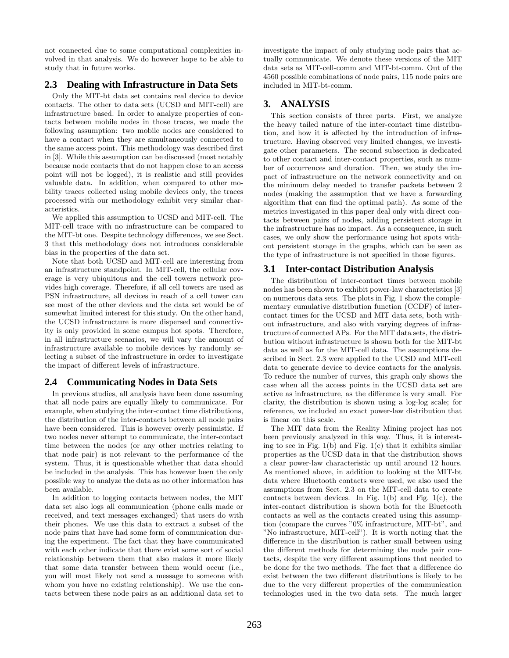not connected due to some computational complexities involved in that analysis. We do however hope to be able to study that in future works.

#### **2.3 Dealing with Infrastructure in Data Sets**

Only the MIT-bt data set contains real device to device contacts. The other to data sets (UCSD and MIT-cell) are infrastructure based. In order to analyze properties of contacts between mobile nodes in those traces, we made the following assumption: two mobile nodes are considered to have a contact when they are simultaneously connected to the same access point. This methodology was described first in [3]. While this assumption can be discussed (most notably because node contacts that do not happen close to an access point will not be logged), it is realistic and still provides valuable data. In addition, when compared to other mobility traces collected using mobile devices only, the traces processed with our methodology exhibit very similar characteristics.

We applied this assumption to UCSD and MIT-cell. The MIT-cell trace with no infrastructure can be compared to the MIT-bt one. Despite technology differences, we see Sect. 3 that this methodology does not introduces considerable bias in the properties of the data set.

Note that both UCSD and MIT-cell are interesting from an infrastructure standpoint. In MIT-cell, the cellular coverage is very ubiquitous and the cell towers network provides high coverage. Therefore, if all cell towers are used as PSN infrastructure, all devices in reach of a cell tower can see most of the other devices and the data set would be of somewhat limited interest for this study. On the other hand, the UCSD infrastructure is more dispersed and connectivity is only provided in some campus hot spots. Therefore, in all infrastructure scenarios, we will vary the amount of infrastructure available to mobile devices by randomly selecting a subset of the infrastructure in order to investigate the impact of different levels of infrastructure.

## **2.4 Communicating Nodes in Data Sets**

In previous studies, all analysis have been done assuming that all node pairs are equally likely to communicate. For example, when studying the inter-contact time distributions, the distribution of the inter-contacts between all node pairs have been considered. This is however overly pessimistic. If two nodes never attempt to communicate, the inter-contact time between the nodes (or any other metrics relating to that node pair) is not relevant to the performance of the system. Thus, it is questionable whether that data should be included in the analysis. This has however been the only possible way to analyze the data as no other information has been available.

In addition to logging contacts between nodes, the MIT data set also logs all communication (phone calls made or received, and text messages exchanged) that users do with their phones. We use this data to extract a subset of the node pairs that have had some form of communication during the experiment. The fact that they have communicated with each other indicate that there exist some sort of social relationship between them that also makes it more likely that some data transfer between them would occur (i.e., you will most likely not send a message to someone with whom you have no existing relationship). We use the contacts between these node pairs as an additional data set to investigate the impact of only studying node pairs that actually communicate. We denote these versions of the MIT data sets as MIT-cell-comm and MIT-bt-comm. Out of the 4560 possible combinations of node pairs, 115 node pairs are included in MIT-bt-comm.

# **3. ANALYSIS**

This section consists of three parts. First, we analyze the heavy tailed nature of the inter-contact time distribution, and how it is affected by the introduction of infrastructure. Having observed very limited changes, we investigate other parameters. The second subsection is dedicated to other contact and inter-contact properties, such as number of occurrences and duration. Then, we study the impact of infrastructure on the network connectivity and on the minimum delay needed to transfer packets between 2 nodes (making the assumption that we have a forwarding algorithm that can find the optimal path). As some of the metrics investigated in this paper deal only with direct contacts between pairs of nodes, adding persistent storage in the infrastructure has no impact. As a consequence, in such cases, we only show the performance using hot spots without persistent storage in the graphs, which can be seen as the type of infrastructure is not specified in those figures.

## **3.1 Inter-contact Distribution Analysis**

The distribution of inter-contact times between mobile nodes has been shown to exhibit power-law characteristics [3] on numerous data sets. The plots in Fig. 1 show the complementary cumulative distribution function (CCDF) of intercontact times for the UCSD and MIT data sets, both without infrastructure, and also with varying degrees of infrastructure of connected APs. For the MIT data sets, the distribution without infrastructure is shown both for the MIT-bt data as well as for the MIT-cell data. The assumptions described in Sect. 2.3 were applied to the UCSD and MIT-cell data to generate device to device contacts for the analysis. To reduce the number of curves, this graph only shows the case when all the access points in the UCSD data set are active as infrastructure, as the difference is very small. For clarity, the distribution is shown using a log-log scale; for reference, we included an exact power-law distribution that is linear on this scale.

The MIT data from the Reality Mining project has not been previously analyzed in this way. Thus, it is interesting to see in Fig.  $1(b)$  and Fig.  $1(c)$  that it exhibits similar properties as the UCSD data in that the distribution shows a clear power-law characteristic up until around 12 hours. As mentioned above, in addition to looking at the MIT-bt data where Bluetooth contacts were used, we also used the assumptions from Sect. 2.3 on the MIT-cell data to create contacts between devices. In Fig.  $1(b)$  and Fig.  $1(c)$ , the inter-contact distribution is shown both for the Bluetooth contacts as well as the contacts created using this assumption (compare the curves "0% infrastructure, MIT-bt", and "No infrastructure, MIT-cell"). It is worth noting that the difference in the distribution is rather small between using the different methods for determining the node pair contacts, despite the very different assumptions that needed to be done for the two methods. The fact that a difference do exist between the two different distributions is likely to be due to the very different properties of the communication technologies used in the two data sets. The much larger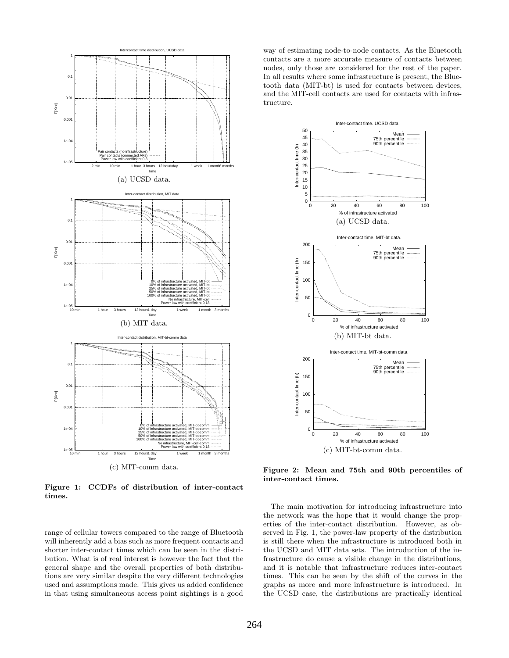

**Figure 1: CCDFs of distribution of inter-contact times.**

range of cellular towers compared to the range of Bluetooth will inherently add a bias such as more frequent contacts and shorter inter-contact times which can be seen in the distribution. What is of real interest is however the fact that the general shape and the overall properties of both distributions are very similar despite the very different technologies used and assumptions made. This gives us added confidence in that using simultaneous access point sightings is a good

way of estimating node-to-node contacts. As the Bluetooth contacts are a more accurate measure of contacts between nodes, only those are considered for the rest of the paper. In all results where some infrastructure is present, the Bluetooth data (MIT-bt) is used for contacts between devices, and the MIT-cell contacts are used for contacts with infrastructure.



**Figure 2: Mean and 75th and 90th percentiles of inter-contact times.**

The main motivation for introducing infrastructure into the network was the hope that it would change the properties of the inter-contact distribution. However, as observed in Fig. 1, the power-law property of the distribution is still there when the infrastructure is introduced both in the UCSD and MIT data sets. The introduction of the infrastructure do cause a visible change in the distributions, and it is notable that infrastructure reduces inter-contact times. This can be seen by the shift of the curves in the graphs as more and more infrastructure is introduced. In the UCSD case, the distributions are practically identical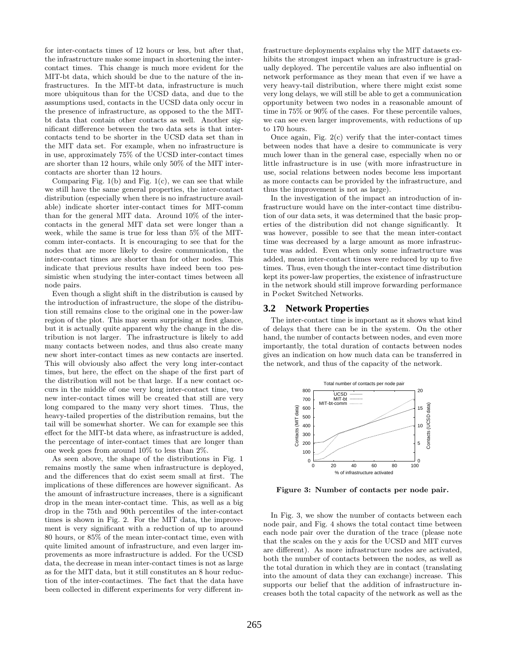for inter-contacts times of 12 hours or less, but after that, the infrastructure make some impact in shortening the intercontact times. This change is much more evident for the MIT-bt data, which should be due to the nature of the infrastructures. In the MIT-bt data, infrastructure is much more ubiquitous than for the UCSD data, and due to the assumptions used, contacts in the UCSD data only occur in the presence of infrastructure, as opposed to the the MITbt data that contain other contacts as well. Another significant difference between the two data sets is that intercontacts tend to be shorter in the UCSD data set than in the MIT data set. For example, when no infrastructure is in use, approximately 75% of the UCSD inter-contact times are shorter than 12 hours, while only 50% of the MIT intercontacts are shorter than 12 hours.

Comparing Fig.  $1(b)$  and Fig.  $1(c)$ , we can see that while we still have the same general properties, the inter-contact distribution (especially when there is no infrastructure available) indicate shorter inter-contact times for MIT-comm than for the general MIT data. Around 10% of the intercontacts in the general MIT data set were longer than a week, while the same is true for less than 5% of the MITcomm inter-contacts. It is encouraging to see that for the nodes that are more likely to desire communication, the inter-contact times are shorter than for other nodes. This indicate that previous results have indeed been too pessimistic when studying the inter-contact times between all node pairs.

Even though a slight shift in the distribution is caused by the introduction of infrastructure, the slope of the distribution still remains close to the original one in the power-law region of the plot. This may seem surprising at first glance, but it is actually quite apparent why the change in the distribution is not larger. The infrastructure is likely to add many contacts between nodes, and thus also create many new short inter-contact times as new contacts are inserted. This will obviously also affect the very long inter-contact times, but here, the effect on the shape of the first part of the distribution will not be that large. If a new contact occurs in the middle of one very long inter-contact time, two new inter-contact times will be created that still are very long compared to the many very short times. Thus, the heavy-tailed properties of the distribution remains, but the tail will be somewhat shorter. We can for example see this effect for the MIT-bt data where, as infrastructure is added, the percentage of inter-contact times that are longer than one week goes from around 10% to less than 2%.

As seen above, the shape of the distributions in Fig. 1 remains mostly the same when infrastructure is deployed, and the differences that do exist seem small at first. The implications of these differences are however significant. As the amount of infrastructure increases, there is a significant drop in the mean inter-contact time. This, as well as a big drop in the 75th and 90th percentiles of the inter-contact times is shown in Fig. 2. For the MIT data, the improvement is very significant with a reduction of up to around 80 hours, or 85% of the mean inter-contact time, even with quite limited amount of infrastructure, and even larger improvements as more infrastructure is added. For the UCSD data, the decrease in mean inter-contact times is not as large as for the MIT data, but it still constitutes an 8 hour reduction of the inter-contactimes. The fact that the data have been collected in different experiments for very different infrastructure deployments explains why the MIT datasets exhibits the strongest impact when an infrastructure is gradually deployed. The percentile values are also influential on network performance as they mean that even if we have a very heavy-tail distribution, where there might exist some very long delays, we will still be able to get a communication opportunity between two nodes in a reasonable amount of time in 75% or 90% of the cases. For these percentile values, we can see even larger improvements, with reductions of up to 170 hours.

Once again, Fig.  $2(c)$  verify that the inter-contact times between nodes that have a desire to communicate is very much lower than in the general case, especially when no or little infrastructure is in use (with more infrastructure in use, social relations between nodes become less important as more contacts can be provided by the infrastructure, and thus the improvement is not as large).

In the investigation of the impact an introduction of infrastructure would have on the inter-contact time distribution of our data sets, it was determined that the basic properties of the distribution did not change significantly. It was however, possible to see that the mean inter-contact time was decreased by a large amount as more infrastructure was added. Even when only some infrastructure was added, mean inter-contact times were reduced by up to five times. Thus, even though the inter-contact time distribution kept its power-law properties, the existence of infrastructure in the network should still improve forwarding performance in Pocket Switched Networks.

#### **3.2 Network Properties**

The inter-contact time is important as it shows what kind of delays that there can be in the system. On the other hand, the number of contacts between nodes, and even more importantly, the total duration of contacts between nodes gives an indication on how much data can be transferred in the network, and thus of the capacity of the network.



**Figure 3: Number of contacts per node pair.**

In Fig. 3, we show the number of contacts between each node pair, and Fig. 4 shows the total contact time between each node pair over the duration of the trace (please note that the scales on the y axis for the UCSD and MIT curves are different). As more infrastructure nodes are activated, both the number of contacts between the nodes, as well as the total duration in which they are in contact (translating into the amount of data they can exchange) increase. This supports our belief that the addition of infrastructure increases both the total capacity of the network as well as the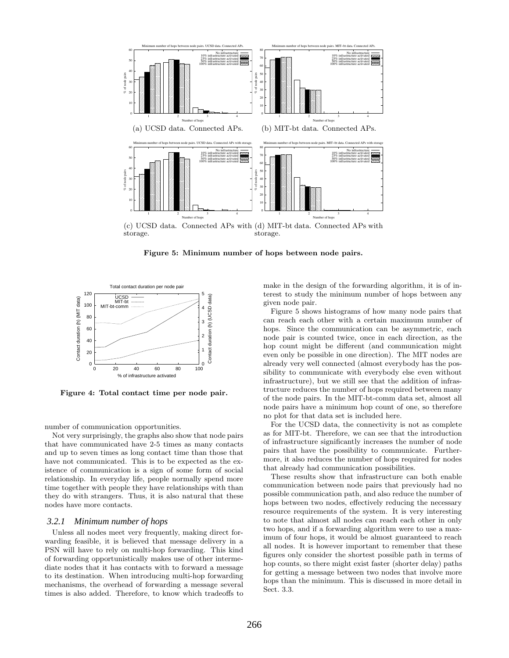

(c) UCSD data. Connected APs with (d) MIT-bt data. Connected APs with storage. storage.

**Figure 5: Minimum number of hops between node pairs.**



**Figure 4: Total contact time per node pair.**

number of communication opportunities.

Not very surprisingly, the graphs also show that node pairs that have communicated have 2-5 times as many contacts and up to seven times as long contact time than those that have not communicated. This is to be expected as the existence of communication is a sign of some form of social relationship. In everyday life, people normally spend more time together with people they have relationships with than they do with strangers. Thus, it is also natural that these nodes have more contacts.

#### *3.2.1 Minimum number of hops*

Unless all nodes meet very frequently, making direct forwarding feasible, it is believed that message delivery in a PSN will have to rely on multi-hop forwarding. This kind of forwarding opportunistically makes use of other intermediate nodes that it has contacts with to forward a message to its destination. When introducing multi-hop forwarding mechanisms, the overhead of forwarding a message several times is also added. Therefore, to know which tradeoffs to make in the design of the forwarding algorithm, it is of interest to study the minimum number of hops between any given node pair.

Figure 5 shows histograms of how many node pairs that can reach each other with a certain maximum number of hops. Since the communication can be asymmetric, each node pair is counted twice, once in each direction, as the hop count might be different (and communication might even only be possible in one direction). The MIT nodes are already very well connected (almost everybody has the possibility to communicate with everybody else even without infrastructure), but we still see that the addition of infrastructure reduces the number of hops required between many of the node pairs. In the MIT-bt-comm data set, almost all node pairs have a minimum hop count of one, so therefore no plot for that data set is included here.

For the UCSD data, the connectivity is not as complete as for MIT-bt. Therefore, we can see that the introduction of infrastructure significantly increases the number of node pairs that have the possibility to communicate. Furthermore, it also reduces the number of hops required for nodes that already had communication possibilities.

These results show that infrastructure can both enable communication between node pairs that previously had no possible communication path, and also reduce the number of hops between two nodes, effectively reducing the necessary resource requirements of the system. It is very interesting to note that almost all nodes can reach each other in only two hops, and if a forwarding algorithm were to use a maximum of four hops, it would be almost guaranteed to reach all nodes. It is however important to remember that these figures only consider the shortest possible path in terms of hop counts, so there might exist faster (shorter delay) paths for getting a message between two nodes that involve more hops than the minimum. This is discussed in more detail in Sect. 3.3.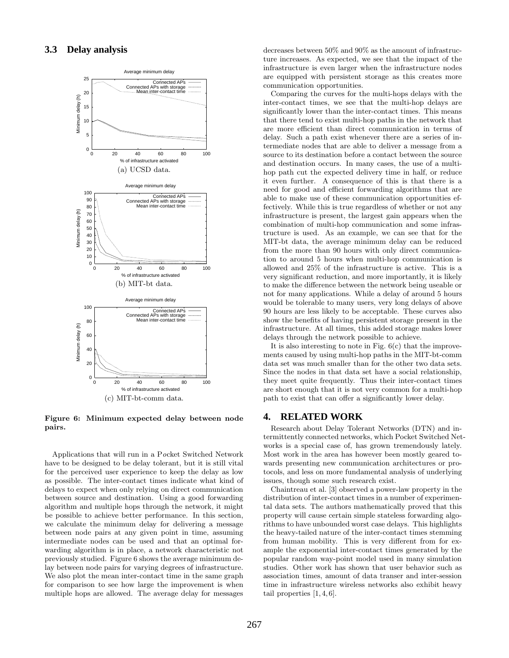

**Figure 6: Minimum expected delay between node pairs.**

Applications that will run in a Pocket Switched Network have to be designed to be delay tolerant, but it is still vital for the perceived user experience to keep the delay as low as possible. The inter-contact times indicate what kind of delays to expect when only relying on direct communication between source and destination. Using a good forwarding algorithm and multiple hops through the network, it might be possible to achieve better performance. In this section, we calculate the minimum delay for delivering a message between node pairs at any given point in time, assuming intermediate nodes can be used and that an optimal forwarding algorithm is in place, a network characteristic not previously studied. Figure 6 shows the average minimum delay between node pairs for varying degrees of infrastructure. We also plot the mean inter-contact time in the same graph for comparison to see how large the improvement is when multiple hops are allowed. The average delay for messages decreases between 50% and 90% as the amount of infrastructure increases. As expected, we see that the impact of the infrastructure is even larger when the infrastructure nodes are equipped with persistent storage as this creates more communication opportunities.

Comparing the curves for the multi-hops delays with the inter-contact times, we see that the multi-hop delays are significantly lower than the inter-contact times. This means that there tend to exist multi-hop paths in the network that are more efficient than direct communication in terms of delay. Such a path exist whenever there are a series of intermediate nodes that are able to deliver a message from a source to its destination before a contact between the source and destination occurs. In many cases, the use of a multihop path cut the expected delivery time in half, or reduce it even further. A consequence of this is that there is a need for good and efficient forwarding algorithms that are able to make use of these communication opportunities effectively. While this is true regardless of whether or not any infrastructure is present, the largest gain appears when the combination of multi-hop communication and some infrastructure is used. As an example, we can see that for the MIT-bt data, the average minimum delay can be reduced from the more than 90 hours with only direct communication to around 5 hours when multi-hop communication is allowed and 25% of the infrastructure is active. This is a very significant reduction, and more importantly, it is likely to make the difference between the network being useable or not for many applications. While a delay of around 5 hours would be tolerable to many users, very long delays of above 90 hours are less likely to be acceptable. These curves also show the benefits of having persistent storage present in the infrastructure. At all times, this added storage makes lower delays through the network possible to achieve.

It is also interesting to note in Fig.  $6(c)$  that the improvements caused by using multi-hop paths in the MIT-bt-comm data set was much smaller than for the other two data sets. Since the nodes in that data set have a social relationship, they meet quite frequently. Thus their inter-contact times are short enough that it is not very common for a multi-hop path to exist that can offer a significantly lower delay.

#### **4. RELATED WORK**

Research about Delay Tolerant Networks (DTN) and intermittently connected networks, which Pocket Switched Networks is a special case of, has grown tremendously lately. Most work in the area has however been mostly geared towards presenting new communication architectures or protocols, and less on more fundamental analysis of underlying issues, though some such research exist.

Chaintreau et al. [3] observed a power-law property in the distribution of inter-contact times in a number of experimental data sets. The authors mathematically proved that this property will cause certain simple stateless forwarding algorithms to have unbounded worst case delays. This highlights the heavy-tailed nature of the inter-contact times stemming from human mobility. This is very different from for example the exponential inter-contact times generated by the popular random way-point model used in many simulation studies. Other work has shown that user behavior such as association times, amount of data transer and inter-session time in infrastructure wireless networks also exhibit heavy tail properties  $[1, 4, 6]$ .